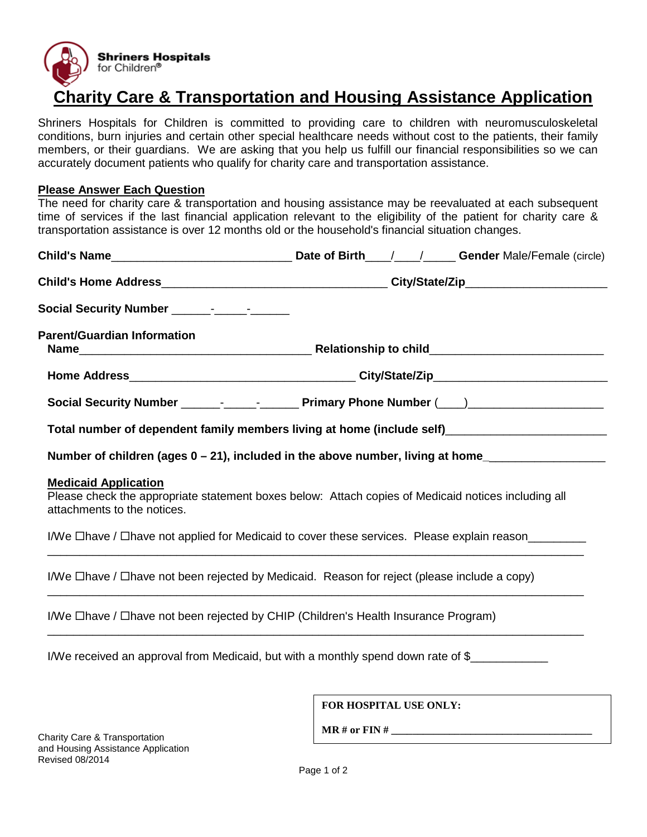

# **Charity Care & Transportation and Housing Assistance Application**

Shriners Hospitals for Children is committed to providing care to children with neuromusculoskeletal conditions, burn injuries and certain other special healthcare needs without cost to the patients, their family members, or their guardians. We are asking that you help us fulfill our financial responsibilities so we can accurately document patients who qualify for charity care and transportation assistance.

## **Please Answer Each Question**

The need for charity care & transportation and housing assistance may be reevaluated at each subsequent time of services if the last financial application relevant to the eligibility of the patient for charity care & transportation assistance is over 12 months old or the household's financial situation changes.

| <b>Parent/Guardian Information</b>                                                                                                                                |  |  |  |  |
|-------------------------------------------------------------------------------------------------------------------------------------------------------------------|--|--|--|--|
|                                                                                                                                                                   |  |  |  |  |
|                                                                                                                                                                   |  |  |  |  |
| Total number of dependent family members living at home (include self) ____________________________                                                               |  |  |  |  |
| Number of children (ages 0 – 21), included in the above number, living at home                                                                                    |  |  |  |  |
| <b>Medicaid Application</b><br>Please check the appropriate statement boxes below: Attach copies of Medicaid notices including all<br>attachments to the notices. |  |  |  |  |
| I/We □have / □have not applied for Medicaid to cover these services. Please explain reason                                                                        |  |  |  |  |
| I/We $\Box$ have / $\Box$ have not been rejected by Medicaid. Reason for reject (please include a copy)                                                           |  |  |  |  |
| I/We □have / □have not been rejected by CHIP (Children's Health Insurance Program)                                                                                |  |  |  |  |
| I/We received an approval from Medicaid, but with a monthly spend down rate of \$                                                                                 |  |  |  |  |

**FOR HOSPITAL USE ONLY:**

**MR # or FIN #** 

Charity Care & Transportation and Housing Assistance Application Revised 08/2014